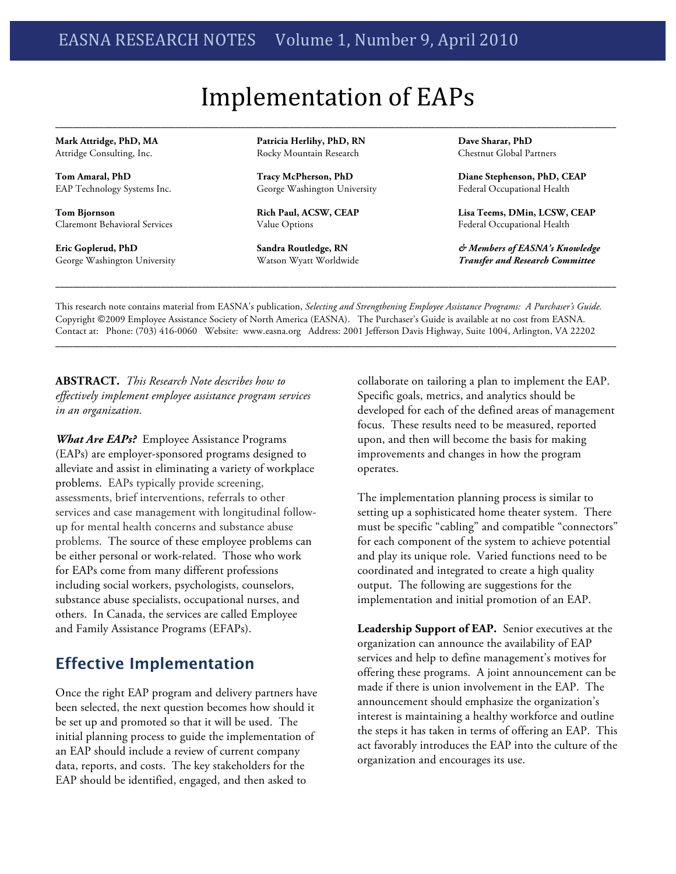# Implementation of EAPs

**\_\_\_\_\_\_\_\_\_\_\_\_\_\_\_\_\_\_\_\_\_\_\_\_\_\_\_\_\_\_\_\_\_\_\_\_\_\_\_\_\_\_\_\_\_\_\_\_\_\_\_\_\_\_\_\_\_\_\_\_\_\_\_\_\_\_\_\_\_\_\_\_\_\_\_\_\_\_\_\_\_\_\_\_\_\_\_\_\_\_\_\_\_\_\_\_\_\_\_\_\_\_\_\_\_\_\_\_\_\_\_\_\_\_\_\_\_\_\_\_\_\_\_\_\_\_\_**

**Mark Attridge, PhD, MA** Attridge Consulting, Inc.

**Tom Amaral, PhD** EAP Technology Systems Inc.

**Tom Bjornson** Claremont Behavioral Services

**Eric Goplerud, PhD** George Washington University **Patricia Herlihy, PhD, RN** Rocky Mountain Research

**Tracy McPherson, PhD** George Washington University

**Rich Paul, ACSW, CEAP** Value Options

**Sandra Routledge, RN** Watson Wyatt Worldwide **Dave Sharar, PhD** Chestnut Global Partners

**Diane Stephenson, PhD, CEAP** Federal Occupational Health

**Lisa Teems, DMin, LCSW, CEAP** Federal Occupational Health

*& Members of EASNA's Knowledge Transfer and Research Committee*

This research note contains material from EASNA's publication, *Selecting and Strengthening Employee Assistance Programs: A Purchaser's Guide.* Copyright ©2009 Employee Assistance Society of North America (EASNA). The Purchaser's Guide is available at no cost from EASNA. Contact at: Phone: (703) 416-0060 Website: www.easna.org Address: 2001 Jefferson Davis Highway, Suite 1004, Arlington, VA 22202

**\_\_\_\_\_\_\_\_\_\_\_\_\_\_\_\_\_\_\_\_\_\_\_\_\_\_\_\_\_\_\_\_\_\_\_\_\_\_\_\_\_\_\_\_\_\_\_\_\_\_\_\_\_\_\_\_\_\_\_\_\_\_\_\_\_\_\_\_\_\_\_\_\_\_\_\_\_\_\_\_\_\_\_\_\_\_\_\_\_\_\_\_\_\_\_\_\_\_\_\_\_\_\_\_\_\_\_\_\_\_\_\_\_\_\_\_\_\_\_\_\_\_\_\_\_\_\_**

**ABSTRACT.** *This Research Note describes how to effectively implement employee assistance program services in an organization.*

*What Are EAPs?* Employee Assistance Programs (EAPs) are employer-sponsored programs designed to alleviate and assist in eliminating a variety of workplace problems. EAPs typically provide screening, assessments, brief interventions, referrals to other services and case management with longitudinal followup for mental health concerns and substance abuse problems. The source of these employee problems can be either personal or work-related. Those who work for EAPs come from many different professions including social workers, psychologists, counselors, substance abuse specialists, occupational nurses, and others. In Canada, the services are called Employee and Family Assistance Programs (EFAPs).

## **Effective Implementation**

Once the right EAP program and delivery partners have been selected, the next question becomes how should it be set up and promoted so that it will be used. The initial planning process to guide the implementation of an EAP should include a review of current company data, reports, and costs. The key stakeholders for the EAP should be identified, engaged, and then asked to

collaborate on tailoring a plan to implement the EAP. Specific goals, metrics, and analytics should be developed for each of the defined areas of management focus. These results need to be measured, reported upon, and then will become the basis for making improvements and changes in how the program operates.

The implementation planning process is similar to setting up a sophisticated home theater system. There must be specific "cabling" and compatible "connectors" for each component of the system to achieve potential and play its unique role. Varied functions need to be coordinated and integrated to create a high quality output. The following are suggestions for the implementation and initial promotion of an EAP.

**Leadership Support of EAP.** Senior executives at the organization can announce the availability of EAP services and help to define management's motives for offering these programs. A joint announcement can be made if there is union involvement in the EAP. The announcement should emphasize the organization's interest is maintaining a healthy workforce and outline the steps it has taken in terms of offering an EAP. This act favorably introduces the EAP into the culture of the organization and encourages its use.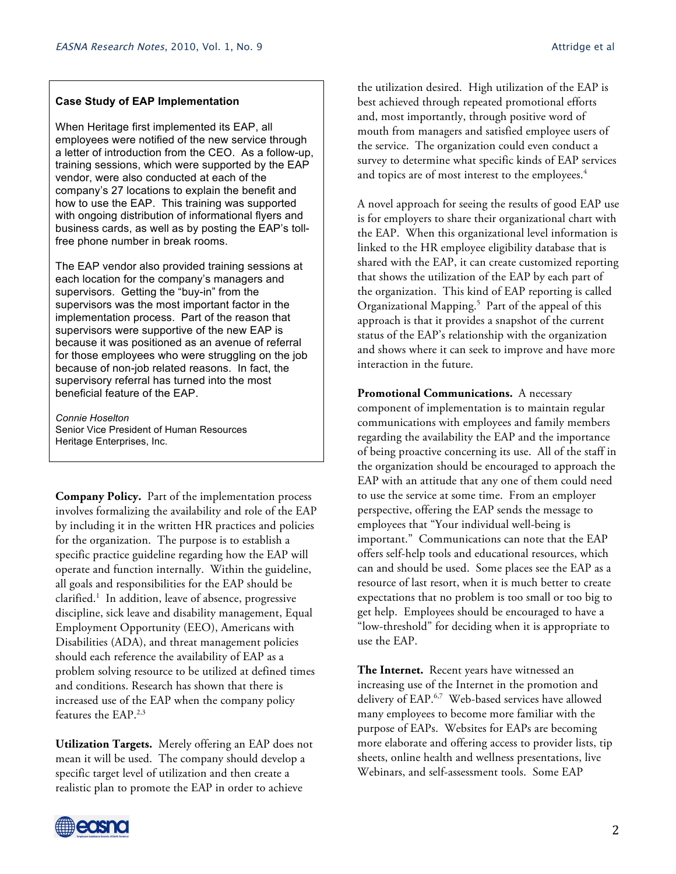#### **Case Study of EAP Implementation**

When Heritage first implemented its EAP, all employees were notified of the new service through a letter of introduction from the CEO. As a follow-up, training sessions, which were supported by the EAP vendor, were also conducted at each of the company's 27 locations to explain the benefit and how to use the EAP. This training was supported with ongoing distribution of informational flyers and business cards, as well as by posting the EAP's tollfree phone number in break rooms.

The EAP vendor also provided training sessions at each location for the company's managers and supervisors. Getting the "buy-in" from the supervisors was the most important factor in the implementation process. Part of the reason that supervisors were supportive of the new EAP is because it was positioned as an avenue of referral for those employees who were struggling on the job because of non-job related reasons. In fact, the supervisory referral has turned into the most beneficial feature of the EAP.

*Connie Hoselton* Senior Vice President of Human Resources Heritage Enterprises, Inc.

**Company Policy.** Part of the implementation process involves formalizing the availability and role of the EAP by including it in the written HR practices and policies for the organization. The purpose is to establish a specific practice guideline regarding how the EAP will operate and function internally. Within the guideline, all goals and responsibilities for the EAP should be clarified. <sup>1</sup> In addition, leave of absence, progressive discipline, sick leave and disability management, Equal Employment Opportunity (EEO), Americans with Disabilities (ADA), and threat management policies should each reference the availability of EAP as a problem solving resource to be utilized at defined times and conditions. Research has shown that there is increased use of the EAP when the company policy features the EAP.<sup>2,3</sup>

**Utilization Targets.** Merely offering an EAP does not mean it will be used. The company should develop a specific target level of utilization and then create a realistic plan to promote the EAP in order to achieve

the utilization desired. High utilization of the EAP is best achieved through repeated promotional efforts and, most importantly, through positive word of mouth from managers and satisfied employee users of the service. The organization could even conduct a survey to determine what specific kinds of EAP services and topics are of most interest to the employees.<sup>4</sup>

A novel approach for seeing the results of good EAP use is for employers to share their organizational chart with the EAP. When this organizational level information is linked to the HR employee eligibility database that is shared with the EAP, it can create customized reporting that shows the utilization of the EAP by each part of the organization. This kind of EAP reporting is called Organizational Mapping. 5 Part of the appeal of this approach is that it provides a snapshot of the current status of the EAP's relationship with the organization and shows where it can seek to improve and have more interaction in the future.

**Promotional Communications.** A necessary component of implementation is to maintain regular communications with employees and family members regarding the availability the EAP and the importance of being proactive concerning its use. All of the staff in the organization should be encouraged to approach the EAP with an attitude that any one of them could need to use the service at some time. From an employer perspective, offering the EAP sends the message to employees that "Your individual well-being is important." Communications can note that the EAP offers self-help tools and educational resources, which can and should be used. Some places see the EAP as a resource of last resort, when it is much better to create expectations that no problem is too small or too big to get help. Employees should be encouraged to have a "low-threshold" for deciding when it is appropriate to use the EAP.

**The Internet.** Recent years have witnessed an increasing use of the Internet in the promotion and delivery of EAP.<sup>6,7</sup> Web-based services have allowed many employees to become more familiar with the purpose of EAPs. Websites for EAPs are becoming more elaborate and offering access to provider lists, tip sheets, online health and wellness presentations, live Webinars, and self-assessment tools. Some EAP

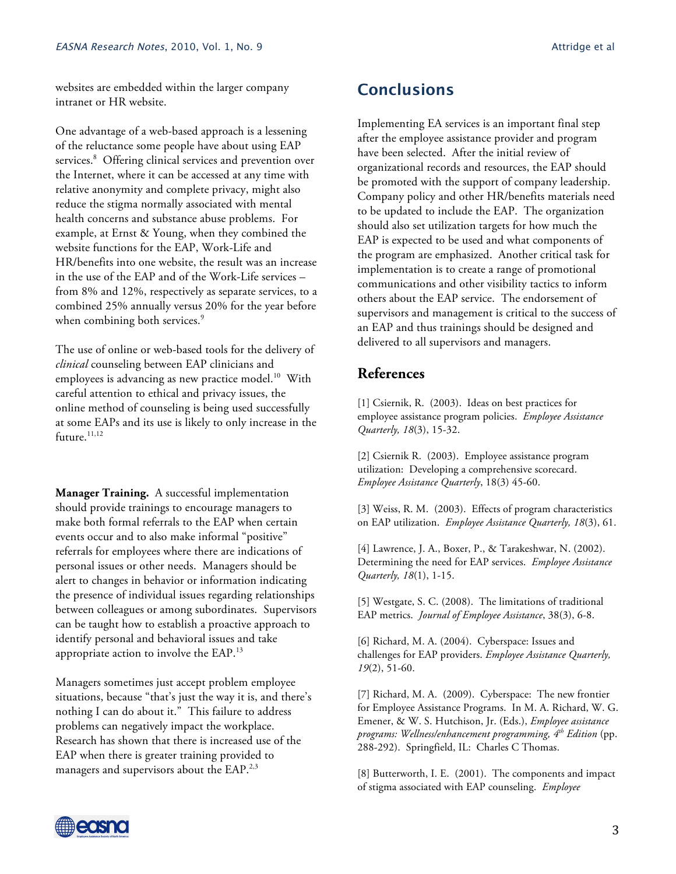websites are embedded within the larger company intranet or HR website.

One advantage of a web-based approach is a lessening of the reluctance some people have about using EAP services.<sup>8</sup> Offering clinical services and prevention over the Internet, where it can be accessed at any time with relative anonymity and complete privacy, might also reduce the stigma normally associated with mental health concerns and substance abuse problems. For example, at Ernst & Young, when they combined the website functions for the EAP, Work-Life and HR/benefits into one website, the result was an increase in the use of the EAP and of the Work-Life services – from 8% and 12%, respectively as separate services, to a combined 25% annually versus 20% for the year before when combining both services.<sup>9</sup>

The use of online or web-based tools for the delivery of *clinical* counseling between EAP clinicians and employees is advancing as new practice model. 10 With careful attention to ethical and privacy issues, the online method of counseling is being used successfully at some EAPs and its use is likely to only increase in the future.<sup>11,12</sup>

**Manager Training.** A successful implementation should provide trainings to encourage managers to make both formal referrals to the EAP when certain events occur and to also make informal "positive" referrals for employees where there are indications of personal issues or other needs. Managers should be alert to changes in behavior or information indicating the presence of individual issues regarding relationships between colleagues or among subordinates. Supervisors can be taught how to establish a proactive approach to identify personal and behavioral issues and take appropriate action to involve the EAP.13

Managers sometimes just accept problem employee situations, because "that's just the way it is, and there's nothing I can do about it." This failure to address problems can negatively impact the workplace. Research has shown that there is increased use of the EAP when there is greater training provided to managers and supervisors about the EAP.<sup>2,3</sup>

## **Conclusions**

Implementing EA services is an important final step after the employee assistance provider and program have been selected. After the initial review of organizational records and resources, the EAP should be promoted with the support of company leadership. Company policy and other HR/benefits materials need to be updated to include the EAP. The organization should also set utilization targets for how much the EAP is expected to be used and what components of the program are emphasized. Another critical task for implementation is to create a range of promotional communications and other visibility tactics to inform others about the EAP service. The endorsement of supervisors and management is critical to the success of an EAP and thus trainings should be designed and delivered to all supervisors and managers.

### **References**

[1] Csiernik, R. (2003). Ideas on best practices for employee assistance program policies. *Employee Assistance Quarterly, 18*(3), 15-32.

[2] Csiernik R. (2003). Employee assistance program utilization: Developing a comprehensive scorecard. *Employee Assistance Quarterly*, 18(3) 45-60.

[3] Weiss, R. M. (2003). Effects of program characteristics on EAP utilization. *Employee Assistance Quarterly, 18*(3), 61.

[4] Lawrence, J. A., Boxer, P., & Tarakeshwar, N. (2002). Determining the need for EAP services. *Employee Assistance Quarterly, 18*(1), 1-15.

[5] Westgate, S. C. (2008). The limitations of traditional EAP metrics. *Journal of Employee Assistance*, 38(3), 6-8.

[6] Richard, M. A. (2004). Cyberspace: Issues and challenges for EAP providers. *Employee Assistance Quarterly, 19*(2), 51-60.

[7] Richard, M. A. (2009).Cyberspace: The new frontier for Employee Assistance Programs. In M. A. Richard, W. G. Emener, & W. S. Hutchison, Jr. (Eds.), *Employee assistance programs: Wellness/enhancement programming, 4th Edition* (pp. 288-292). Springfield, IL: Charles C Thomas.

[8] Butterworth, I. E. (2001). The components and impact of stigma associated with EAP counseling. *Employee*